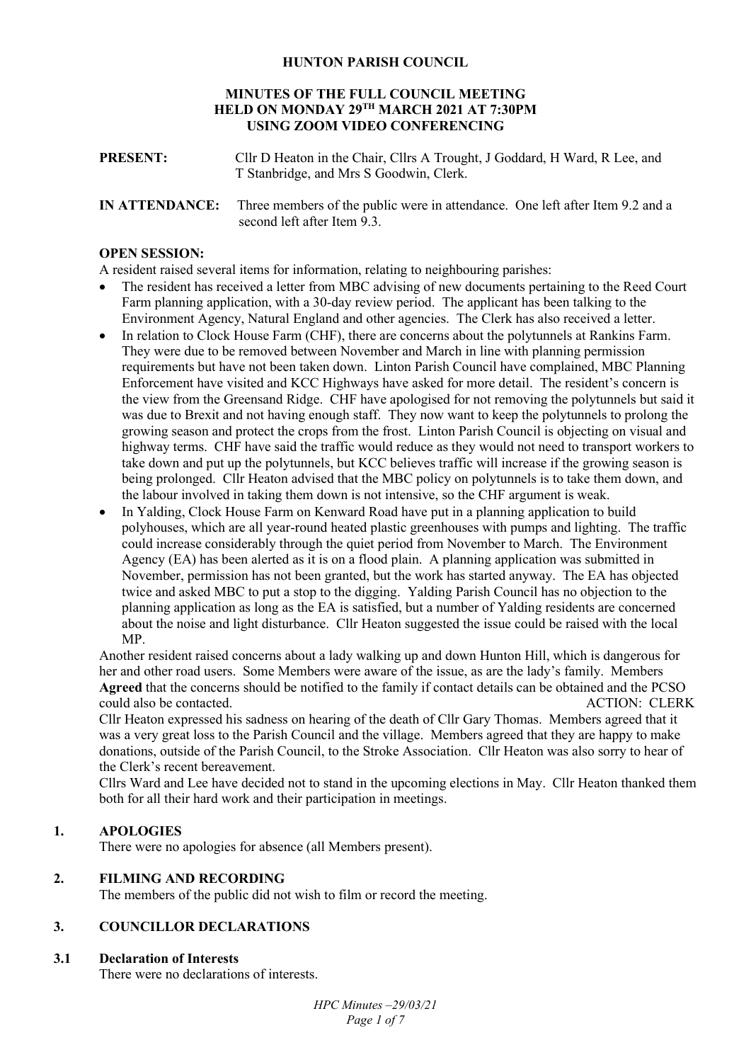# **HUNTON PARISH COUNCIL**

#### **MINUTES OF THE FULL COUNCIL MEETING HELD ON MONDAY 29TH MARCH 2021 AT 7:30PM USING ZOOM VIDEO CONFERENCING**

- **PRESENT:** Cllr D Heaton in the Chair, Cllrs A Trought, J Goddard, H Ward, R Lee, and T Stanbridge, and Mrs S Goodwin, Clerk.
- **IN ATTENDANCE:** Three members of the public were in attendance. One left after Item 9.2 and a second left after Item 9.3.

#### **OPEN SESSION:**

A resident raised several items for information, relating to neighbouring parishes:

- The resident has received a letter from MBC advising of new documents pertaining to the Reed Court Farm planning application, with a 30-day review period. The applicant has been talking to the Environment Agency, Natural England and other agencies. The Clerk has also received a letter.
- In relation to Clock House Farm (CHF), there are concerns about the polytunnels at Rankins Farm. They were due to be removed between November and March in line with planning permission requirements but have not been taken down. Linton Parish Council have complained, MBC Planning Enforcement have visited and KCC Highways have asked for more detail. The resident's concern is the view from the Greensand Ridge. CHF have apologised for not removing the polytunnels but said it was due to Brexit and not having enough staff. They now want to keep the polytunnels to prolong the growing season and protect the crops from the frost. Linton Parish Council is objecting on visual and highway terms. CHF have said the traffic would reduce as they would not need to transport workers to take down and put up the polytunnels, but KCC believes traffic will increase if the growing season is being prolonged. Cllr Heaton advised that the MBC policy on polytunnels is to take them down, and the labour involved in taking them down is not intensive, so the CHF argument is weak.
- In Yalding, Clock House Farm on Kenward Road have put in a planning application to build polyhouses, which are all year-round heated plastic greenhouses with pumps and lighting. The traffic could increase considerably through the quiet period from November to March. The Environment Agency (EA) has been alerted as it is on a flood plain. A planning application was submitted in November, permission has not been granted, but the work has started anyway. The EA has objected twice and asked MBC to put a stop to the digging. Yalding Parish Council has no objection to the planning application as long as the EA is satisfied, but a number of Yalding residents are concerned about the noise and light disturbance. Cllr Heaton suggested the issue could be raised with the local MP.

Another resident raised concerns about a lady walking up and down Hunton Hill, which is dangerous for her and other road users. Some Members were aware of the issue, as are the lady's family. Members **Agreed** that the concerns should be notified to the family if contact details can be obtained and the PCSO could also be contacted. ACTION: CLERK

Cllr Heaton expressed his sadness on hearing of the death of Cllr Gary Thomas. Members agreed that it was a very great loss to the Parish Council and the village. Members agreed that they are happy to make donations, outside of the Parish Council, to the Stroke Association. Cllr Heaton was also sorry to hear of the Clerk's recent bereavement.

Cllrs Ward and Lee have decided not to stand in the upcoming elections in May. Cllr Heaton thanked them both for all their hard work and their participation in meetings.

# **1. APOLOGIES**

There were no apologies for absence (all Members present).

### **2. FILMING AND RECORDING**

The members of the public did not wish to film or record the meeting.

# **3. COUNCILLOR DECLARATIONS**

#### **3.1 Declaration of Interests**

There were no declarations of interests.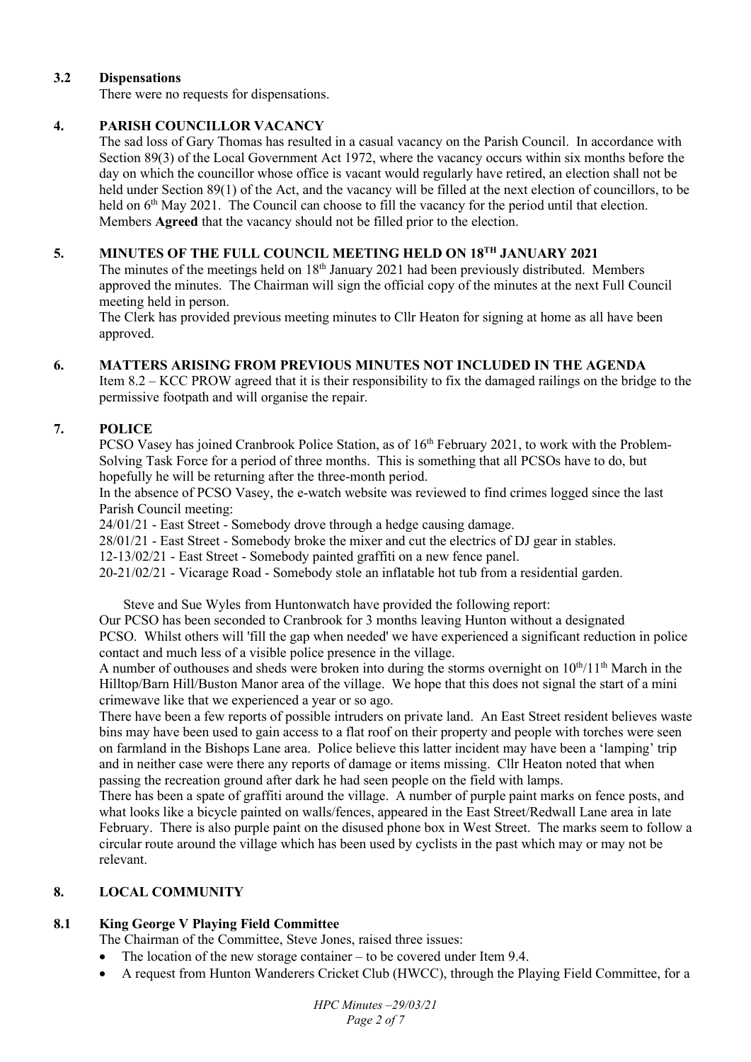# **3.2 Dispensations**

There were no requests for dispensations.

# **4. PARISH COUNCILLOR VACANCY**

The sad loss of Gary Thomas has resulted in a casual vacancy on the Parish Council.In accordance with Section 89(3) of the Local Government Act 1972, where the vacancy occurs within six months before the day on which the councillor whose office is vacant would regularly have retired, an election shall not be held under Section 89(1) of the Act, and the vacancy will be filled at the next election of councillors, to be held on 6<sup>th</sup> May 2021. The Council can choose to fill the vacancy for the period until that election. Members **Agreed** that the vacancy should not be filled prior to the election.

# **5. MINUTES OF THE FULL COUNCIL MEETING HELD ON 18TH JANUARY 2021**

The minutes of the meetings held on 18<sup>th</sup> January 2021 had been previously distributed. Members approved the minutes. The Chairman will sign the official copy of the minutes at the next Full Council meeting held in person.

The Clerk has provided previous meeting minutes to Cllr Heaton for signing at home as all have been approved.

# **6. MATTERS ARISING FROM PREVIOUS MINUTES NOT INCLUDED IN THE AGENDA**

Item 8.2 – KCC PROW agreed that it is their responsibility to fix the damaged railings on the bridge to the permissive footpath and will organise the repair.

# **7. POLICE**

PCSO Vasey has joined Cranbrook Police Station, as of 16<sup>th</sup> February 2021, to work with the Problem-Solving Task Force for a period of three months. This is something that all PCSOs have to do, but hopefully he will be returning after the three-month period.

In the absence of PCSO Vasey, the e-watch website was reviewed to find crimes logged since the last Parish Council meeting:

24/01/21 - East Street - Somebody drove through a hedge causing damage.

28/01/21 - East Street - Somebody broke the mixer and cut the electrics of DJ gear in stables.

12-13/02/21 - East Street - Somebody painted graffiti on a new fence panel.

20-21/02/21 - Vicarage Road - Somebody stole an inflatable hot tub from a residential garden.

Steve and Sue Wyles from Huntonwatch have provided the following report:

Our PCSO has been seconded to Cranbrook for 3 months leaving Hunton without a designated

PCSO. Whilst others will 'fill the gap when needed' we have experienced a significant reduction in police contact and much less of a visible police presence in the village.

A number of outhouses and sheds were broken into during the storms overnight on  $10^{th}/11^{th}$  March in the Hilltop/Barn Hill/Buston Manor area of the village. We hope that this does not signal the start of a mini crimewave like that we experienced a year or so ago.

There have been a few reports of possible intruders on private land. An East Street resident believes waste bins may have been used to gain access to a flat roof on their property and people with torches were seen on farmland in the Bishops Lane area. Police believe this latter incident may have been a 'lamping' trip and in neither case were there any reports of damage or items missing. Cllr Heaton noted that when passing the recreation ground after dark he had seen people on the field with lamps.

There has been a spate of graffiti around the village. A number of purple paint marks on fence posts, and what looks like a bicycle painted on walls/fences, appeared in the East Street/Redwall Lane area in late February. There is also purple paint on the disused phone box in West Street. The marks seem to follow a circular route around the village which has been used by cyclists in the past which may or may not be relevant.

# **8. LOCAL COMMUNITY**

# **8.1 King George V Playing Field Committee**

The Chairman of the Committee, Steve Jones, raised three issues:

- The location of the new storage container to be covered under Item 9.4.
- A request from Hunton Wanderers Cricket Club (HWCC), through the Playing Field Committee, for a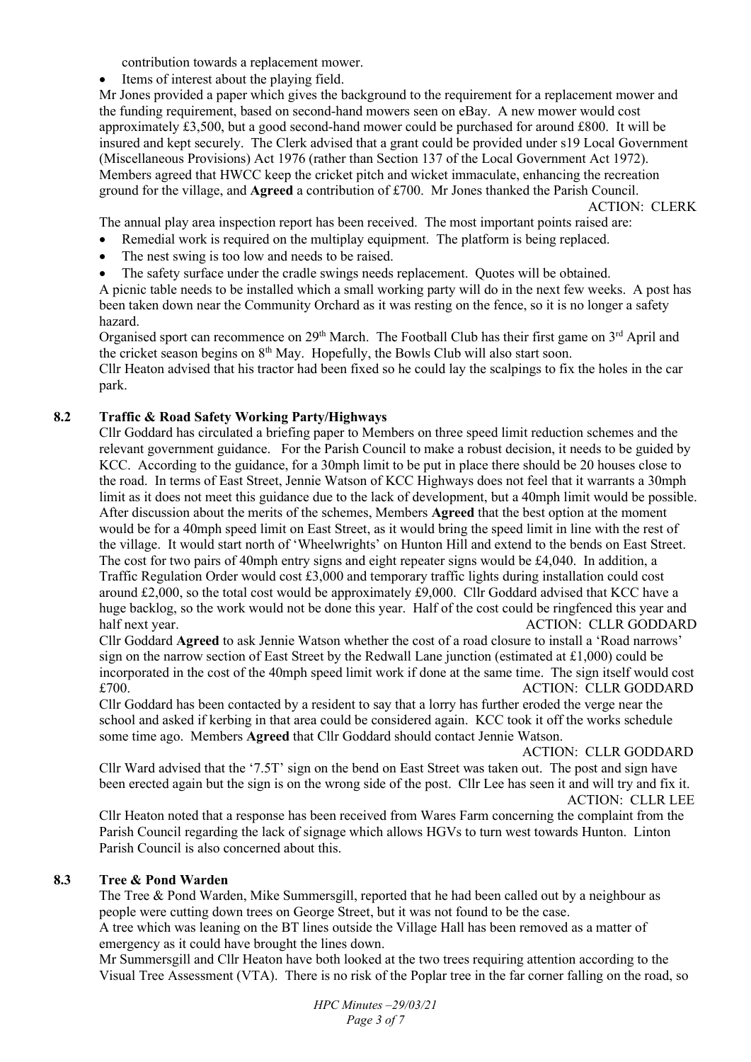contribution towards a replacement mower.

Items of interest about the playing field.

Mr Jones provided a paper which gives the background to the requirement for a replacement mower and the funding requirement, based on second-hand mowers seen on eBay. A new mower would cost approximately £3,500, but a good second-hand mower could be purchased for around £800. It will be insured and kept securely. The Clerk advised that a grant could be provided under s19 Local Government (Miscellaneous Provisions) Act 1976 (rather than Section 137 of the Local Government Act 1972). Members agreed that HWCC keep the cricket pitch and wicket immaculate, enhancing the recreation ground for the village, and **Agreed** a contribution of £700. Mr Jones thanked the Parish Council.

ACTION: CLERK

The annual play area inspection report has been received. The most important points raised are:

- Remedial work is required on the multiplay equipment. The platform is being replaced.
- The nest swing is too low and needs to be raised.
- The safety surface under the cradle swings needs replacement. Quotes will be obtained.

A picnic table needs to be installed which a small working party will do in the next few weeks. A post has been taken down near the Community Orchard as it was resting on the fence, so it is no longer a safety hazard.

Organised sport can recommence on 29<sup>th</sup> March. The Football Club has their first game on 3<sup>rd</sup> April and the cricket season begins on 8th May. Hopefully, the Bowls Club will also start soon. Cllr Heaton advised that his tractor had been fixed so he could lay the scalpings to fix the holes in the car park.

# **8.2 Traffic & Road Safety Working Party/Highways**

Cllr Goddard has circulated a briefing paper to Members on three speed limit reduction schemes and the relevant government guidance. For the Parish Council to make a robust decision, it needs to be guided by KCC. According to the guidance, for a 30mph limit to be put in place there should be 20 houses close to the road. In terms of East Street, Jennie Watson of KCC Highways does not feel that it warrants a 30mph limit as it does not meet this guidance due to the lack of development, but a 40mph limit would be possible. After discussion about the merits of the schemes, Members **Agreed** that the best option at the moment would be for a 40mph speed limit on East Street, as it would bring the speed limit in line with the rest of the village. It would start north of 'Wheelwrights' on Hunton Hill and extend to the bends on East Street. The cost for two pairs of 40mph entry signs and eight repeater signs would be £4,040. In addition, a Traffic Regulation Order would cost £3,000 and temporary traffic lights during installation could cost around £2,000, so the total cost would be approximately £9,000. Cllr Goddard advised that KCC have a huge backlog, so the work would not be done this year. Half of the cost could be ringfenced this year and half next year. ACTION: CLLR GODDARD

Cllr Goddard **Agreed** to ask Jennie Watson whether the cost of a road closure to install a 'Road narrows' sign on the narrow section of East Street by the Redwall Lane junction (estimated at £1,000) could be incorporated in the cost of the 40mph speed limit work if done at the same time. The sign itself would cost £700. ACTION: CLLR GODDARD

Cllr Goddard has been contacted by a resident to say that a lorry has further eroded the verge near the school and asked if kerbing in that area could be considered again. KCC took it off the works schedule some time ago. Members **Agreed** that Cllr Goddard should contact Jennie Watson.

ACTION: CLLR GODDARD

Cllr Ward advised that the '7.5T' sign on the bend on East Street was taken out. The post and sign have been erected again but the sign is on the wrong side of the post. Cllr Lee has seen it and will try and fix it. ACTION: CLLR LEE

Cllr Heaton noted that a response has been received from Wares Farm concerning the complaint from the Parish Council regarding the lack of signage which allows HGVs to turn west towards Hunton. Linton Parish Council is also concerned about this.

# **8.3 Tree & Pond Warden**

The Tree & Pond Warden, Mike Summersgill, reported that he had been called out by a neighbour as people were cutting down trees on George Street, but it was not found to be the case.

A tree which was leaning on the BT lines outside the Village Hall has been removed as a matter of emergency as it could have brought the lines down.

Mr Summersgill and Cllr Heaton have both looked at the two trees requiring attention according to the Visual Tree Assessment (VTA). There is no risk of the Poplar tree in the far corner falling on the road, so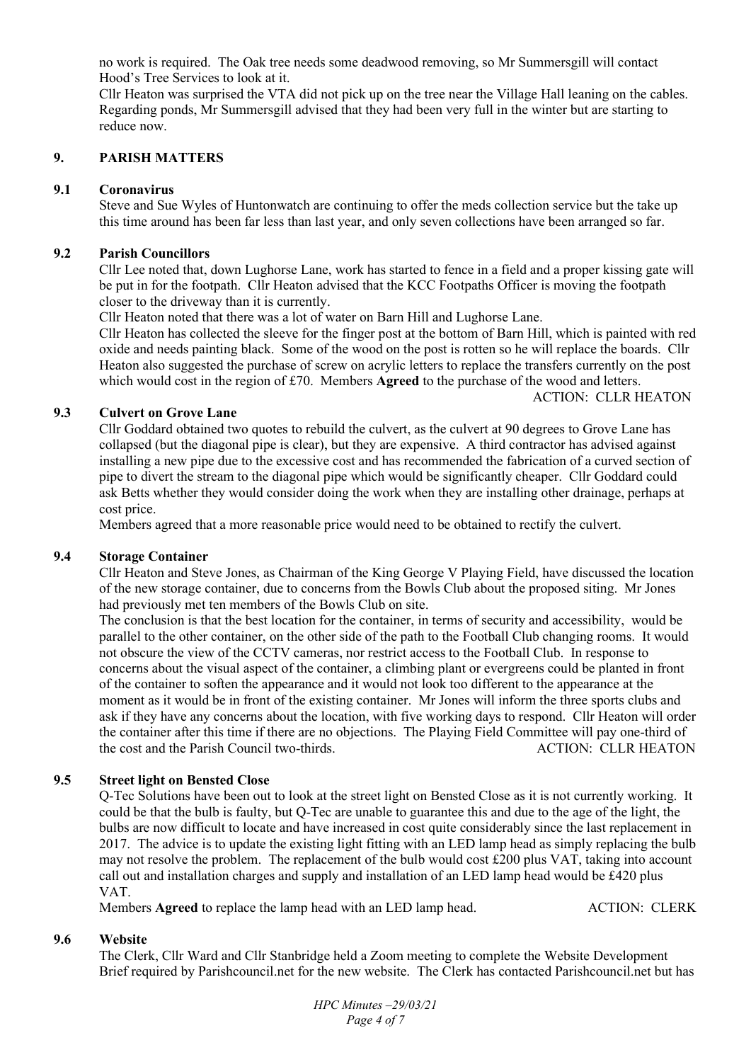no work is required. The Oak tree needs some deadwood removing, so Mr Summersgill will contact Hood's Tree Services to look at it.

Cllr Heaton was surprised the VTA did not pick up on the tree near the Village Hall leaning on the cables. Regarding ponds, Mr Summersgill advised that they had been very full in the winter but are starting to reduce now.

# **9. PARISH MATTERS**

### **9.1 Coronavirus**

Steve and Sue Wyles of Huntonwatch are continuing to offer the meds collection service but the take up this time around has been far less than last year, and only seven collections have been arranged so far.

### **9.2 Parish Councillors**

Cllr Lee noted that, down Lughorse Lane, work has started to fence in a field and a proper kissing gate will be put in for the footpath. Cllr Heaton advised that the KCC Footpaths Officer is moving the footpath closer to the driveway than it is currently.

Cllr Heaton noted that there was a lot of water on Barn Hill and Lughorse Lane.

Cllr Heaton has collected the sleeve for the finger post at the bottom of Barn Hill, which is painted with red oxide and needs painting black. Some of the wood on the post is rotten so he will replace the boards. Cllr Heaton also suggested the purchase of screw on acrylic letters to replace the transfers currently on the post which would cost in the region of £70. Members **Agreed** to the purchase of the wood and letters.

#### ACTION: CLLR HEATON

# **9.3 Culvert on Grove Lane**

Cllr Goddard obtained two quotes to rebuild the culvert, as the culvert at 90 degrees to Grove Lane has collapsed (but the diagonal pipe is clear), but they are expensive. A third contractor has advised against installing a new pipe due to the excessive cost and has recommended the fabrication of a curved section of pipe to divert the stream to the diagonal pipe which would be significantly cheaper. Cllr Goddard could ask Betts whether they would consider doing the work when they are installing other drainage, perhaps at cost price.

Members agreed that a more reasonable price would need to be obtained to rectify the culvert.

#### **9.4 Storage Container**

Cllr Heaton and Steve Jones, as Chairman of the King George V Playing Field, have discussed the location of the new storage container, due to concerns from the Bowls Club about the proposed siting. Mr Jones had previously met ten members of the Bowls Club on site.

The conclusion is that the best location for the container, in terms of security and accessibility, would be parallel to the other container, on the other side of the path to the Football Club changing rooms. It would not obscure the view of the CCTV cameras, nor restrict access to the Football Club. In response to concerns about the visual aspect of the container, a climbing plant or evergreens could be planted in front of the container to soften the appearance and it would not look too different to the appearance at the moment as it would be in front of the existing container. Mr Jones will inform the three sports clubs and ask if they have any concerns about the location, with five working days to respond. Cllr Heaton will order the container after this time if there are no objections. The Playing Field Committee will pay one-third of the cost and the Parish Council two-thirds. ACTION: CLLR HEATON

# **9.5 Street light on Bensted Close**

Q-Tec Solutions have been out to look at the street light on Bensted Close as it is not currently working. It could be that the bulb is faulty, but Q-Tec are unable to guarantee this and due to the age of the light, the bulbs are now difficult to locate and have increased in cost quite considerably since the last replacement in 2017. The advice is to update the existing light fitting with an LED lamp head as simply replacing the bulb may not resolve the problem. The replacement of the bulb would cost  $\text{\pounds}200$  plus VAT, taking into account call out and installation charges and supply and installation of an LED lamp head would be £420 plus VAT.

Members **Agreed** to replace the lamp head with an LED lamp head. ACTION: CLERK

# **9.6 Website**

The Clerk, Cllr Ward and Cllr Stanbridge held a Zoom meeting to complete the Website Development Brief required by Parishcouncil.net for the new website. The Clerk has contacted Parishcouncil.net but has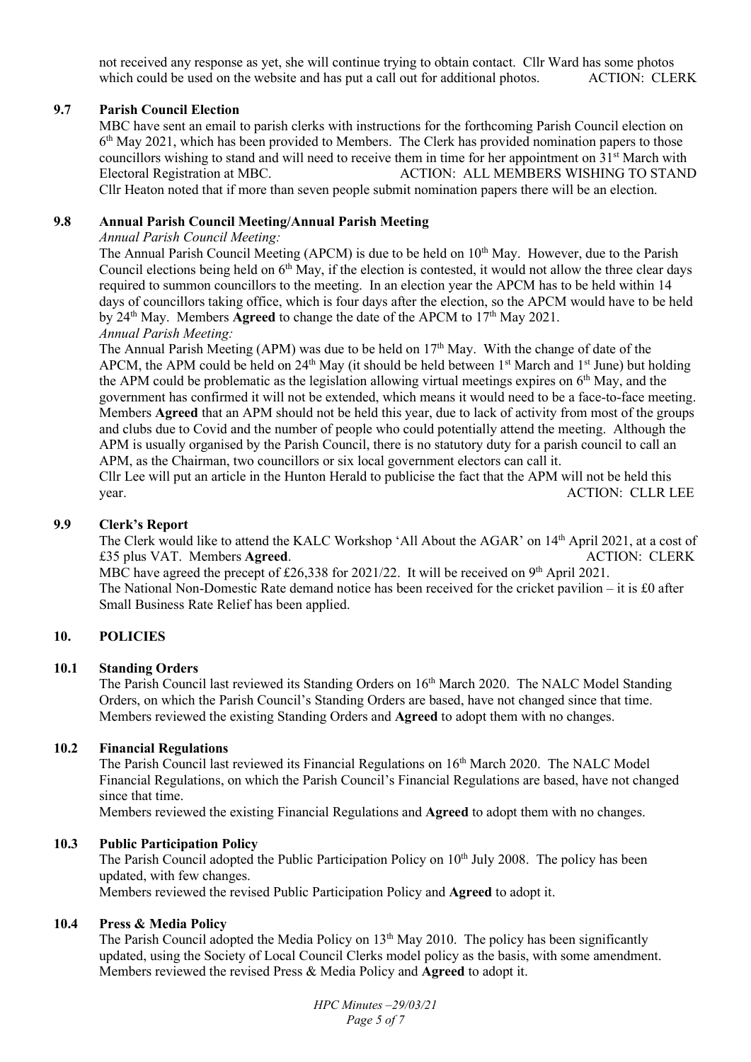not received any response as yet, she will continue trying to obtain contact. Cllr Ward has some photos which could be used on the website and has put a call out for additional photos. ACTION: CLERK which could be used on the website and has put a call out for additional photos.

# **9.7 Parish Council Election**

MBC have sent an email to parish clerks with instructions for the forthcoming Parish Council election on 6<sup>th</sup> May 2021, which has been provided to Members. The Clerk has provided nomination papers to those councillors wishing to stand and will need to receive them in time for her appointment on 31<sup>st</sup> March with<br>Electoral Registration at MBC.<br>ACTION: ALL MEMBERS WISHING TO STANI ACTION: ALL MEMBERS WISHING TO STAND. Cllr Heaton noted that if more than seven people submit nomination papers there will be an election.

#### **9.8 Annual Parish Council Meeting/Annual Parish Meeting**

#### *Annual Parish Council Meeting:*

The Annual Parish Council Meeting (APCM) is due to be held on 10<sup>th</sup> May. However, due to the Parish Council elections being held on 6<sup>th</sup> May, if the election is contested, it would not allow the three clear days required to summon councillors to the meeting. In an election year the APCM has to be held within 14 days of councillors taking office, which is four days after the election, so the APCM would have to be held by 24<sup>th</sup> May. Members **Agreed** to change the date of the APCM to 17<sup>th</sup> May 2021. *Annual Parish Meeting:* 

The Annual Parish Meeting (APM) was due to be held on  $17<sup>th</sup>$  May. With the change of date of the APCM, the APM could be held on  $24<sup>th</sup>$  May (it should be held between  $1<sup>st</sup>$  March and  $1<sup>st</sup>$  June) but holding the APM could be problematic as the legislation allowing virtual meetings expires on  $6<sup>th</sup>$  May, and the government has confirmed it will not be extended, which means it would need to be a face-to-face meeting. Members **Agreed** that an APM should not be held this year, due to lack of activity from most of the groups and clubs due to Covid and the number of people who could potentially attend the meeting. Although the APM is usually organised by the Parish Council, there is no statutory duty for a parish council to call an APM, as the Chairman, two councillors or six local government electors can call it.

Cllr Lee will put an article in the Hunton Herald to publicise the fact that the APM will not be held this year. ACTION: CLLR LEE

### **9.9 Clerk's Report**

The Clerk would like to attend the KALC Workshop 'All About the AGAR' on 14th April 2021, at a cost of £35 plus VAT. Members **Agreed**. ACTION: CLERK MBC have agreed the precept of £26,338 for 2021/22. It will be received on 9<sup>th</sup> April 2021. The National Non-Domestic Rate demand notice has been received for the cricket pavilion – it is £0 after Small Business Rate Relief has been applied.

#### **10. POLICIES**

#### **10.1 Standing Orders**

The Parish Council last reviewed its Standing Orders on 16<sup>th</sup> March 2020. The NALC Model Standing Orders, on which the Parish Council's Standing Orders are based, have not changed since that time. Members reviewed the existing Standing Orders and **Agreed** to adopt them with no changes.

#### **10.2 Financial Regulations**

The Parish Council last reviewed its Financial Regulations on 16<sup>th</sup> March 2020. The NALC Model Financial Regulations, on which the Parish Council's Financial Regulations are based, have not changed since that time.

Members reviewed the existing Financial Regulations and **Agreed** to adopt them with no changes.

#### **10.3 Public Participation Policy**

The Parish Council adopted the Public Participation Policy on  $10<sup>th</sup>$  July 2008. The policy has been updated, with few changes.

Members reviewed the revised Public Participation Policy and **Agreed** to adopt it.

#### **10.4 Press & Media Policy**

The Parish Council adopted the Media Policy on 13<sup>th</sup> May 2010. The policy has been significantly updated, using the Society of Local Council Clerks model policy as the basis, with some amendment. Members reviewed the revised Press & Media Policy and **Agreed** to adopt it.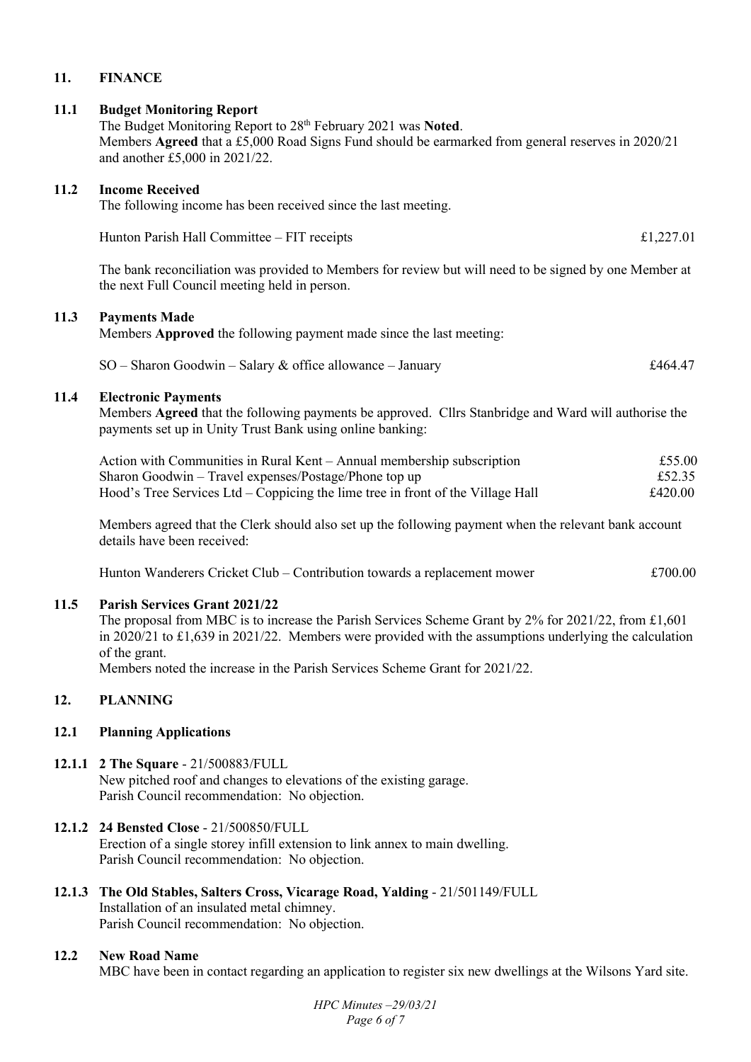# **11. FINANCE**

#### **11.1 Budget Monitoring Report**

The Budget Monitoring Report to 28th February 2021 was **Noted**. Members **Agreed** that a £5,000 Road Signs Fund should be earmarked from general reserves in 2020/21 and another £5,000 in 2021/22.

#### **11.2 Income Received**

The following income has been received since the last meeting.

Hunton Parish Hall Committee – FIT receipts  $\pounds 1,227.01$ 

The bank reconciliation was provided to Members for review but will need to be signed by one Member at the next Full Council meeting held in person.

### **11.3 Payments Made**

Members **Approved** the following payment made since the last meeting:

 $SO -$ Sharon Goodwin – Salary & office allowance – January  $£464.47$ 

#### **11.4 Electronic Payments**

Members **Agreed** that the following payments be approved. Cllrs Stanbridge and Ward will authorise the payments set up in Unity Trust Bank using online banking:

| Action with Communities in Rural Kent – Annual membership subscription          | £55.00  |
|---------------------------------------------------------------------------------|---------|
| Sharon Goodwin – Travel expenses/Postage/Phone top up                           | £52.35  |
| Hood's Tree Services Ltd – Coppicing the lime tree in front of the Village Hall | £420.00 |

Members agreed that the Clerk should also set up the following payment when the relevant bank account details have been received:

Hunton Wanderers Cricket Club – Contribution towards a replacement mower  $£700.00$ 

# **11.5 Parish Services Grant 2021/22**

The proposal from MBC is to increase the Parish Services Scheme Grant by 2% for 2021/22, from £1,601 in 2020/21 to £1,639 in 2021/22. Members were provided with the assumptions underlying the calculation of the grant.

Members noted the increase in the Parish Services Scheme Grant for 2021/22.

# **12. PLANNING**

#### **12.1 Planning Applications**

- **12.1.1 2 The Square**  21/500883/FULL New pitched roof and changes to elevations of the existing garage. Parish Council recommendation: No objection.
- **12.1.2 24 Bensted Close**  21/500850/FULL Erection of a single storey infill extension to link annex to main dwelling. Parish Council recommendation: No objection.

#### **12.1.3 The Old Stables, Salters Cross, Vicarage Road, Yalding** - 21/501149/FULL Installation of an insulated metal chimney.

Parish Council recommendation: No objection.

#### **12.2 New Road Name**

MBC have been in contact regarding an application to register six new dwellings at the Wilsons Yard site.